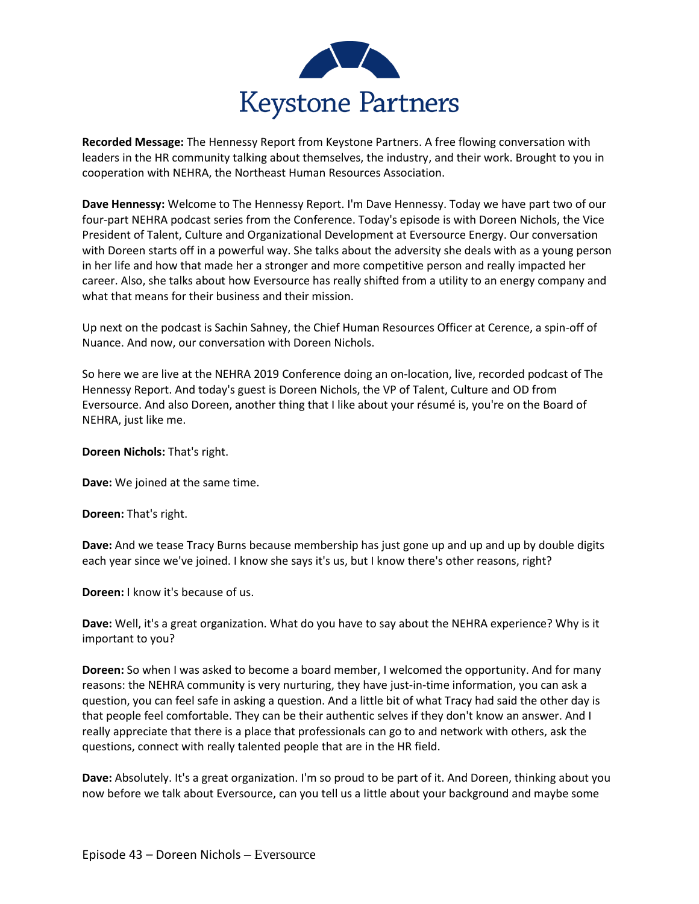

**Recorded Message:** The Hennessy Report from Keystone Partners. A free flowing conversation with leaders in the HR community talking about themselves, the industry, and their work. Brought to you in cooperation with NEHRA, the Northeast Human Resources Association.

**Dave Hennessy:** Welcome to The Hennessy Report. I'm Dave Hennessy. Today we have part two of our four-part NEHRA podcast series from the Conference. Today's episode is with Doreen Nichols, the Vice President of Talent, Culture and Organizational Development at Eversource Energy. Our conversation with Doreen starts off in a powerful way. She talks about the adversity she deals with as a young person in her life and how that made her a stronger and more competitive person and really impacted her career. Also, she talks about how Eversource has really shifted from a utility to an energy company and what that means for their business and their mission.

Up next on the podcast is Sachin Sahney, the Chief Human Resources Officer at Cerence, a spin-off of Nuance. And now, our conversation with Doreen Nichols.

So here we are live at the NEHRA 2019 Conference doing an on-location, live, recorded podcast of The Hennessy Report. And today's guest is Doreen Nichols, the VP of Talent, Culture and OD from Eversource. And also Doreen, another thing that I like about your résumé is, you're on the Board of NEHRA, just like me.

**Doreen Nichols:** That's right.

**Dave:** We joined at the same time.

**Doreen:** That's right.

**Dave:** And we tease Tracy Burns because membership has just gone up and up and up by double digits each year since we've joined. I know she says it's us, but I know there's other reasons, right?

**Doreen:** I know it's because of us.

**Dave:** Well, it's a great organization. What do you have to say about the NEHRA experience? Why is it important to you?

**Doreen:** So when I was asked to become a board member, I welcomed the opportunity. And for many reasons: the NEHRA community is very nurturing, they have just-in-time information, you can ask a question, you can feel safe in asking a question. And a little bit of what Tracy had said the other day is that people feel comfortable. They can be their authentic selves if they don't know an answer. And I really appreciate that there is a place that professionals can go to and network with others, ask the questions, connect with really talented people that are in the HR field.

**Dave:** Absolutely. It's a great organization. I'm so proud to be part of it. And Doreen, thinking about you now before we talk about Eversource, can you tell us a little about your background and maybe some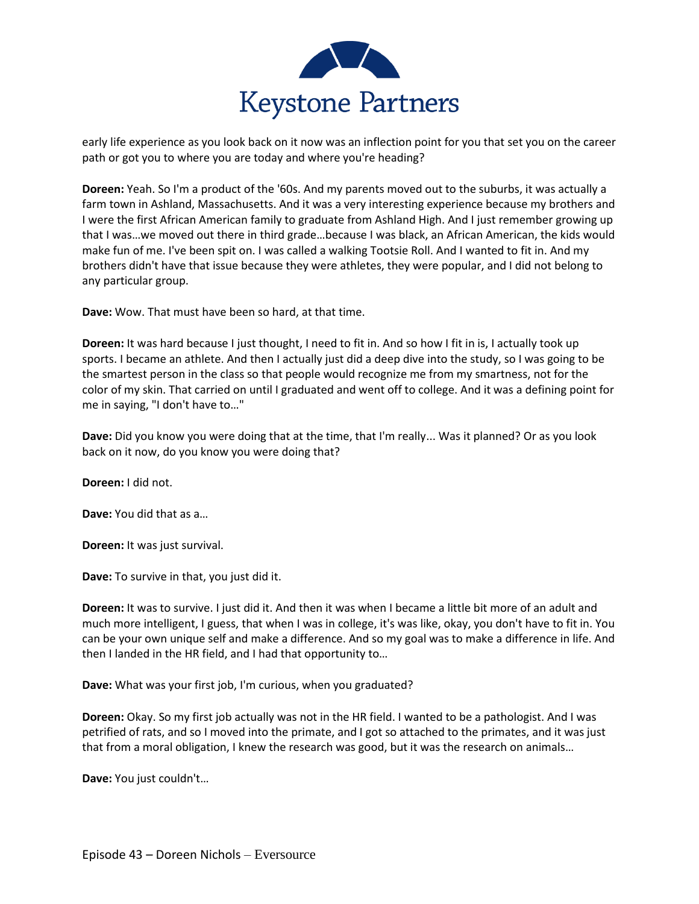

early life experience as you look back on it now was an inflection point for you that set you on the career path or got you to where you are today and where you're heading?

**Doreen:** Yeah. So I'm a product of the '60s. And my parents moved out to the suburbs, it was actually a farm town in Ashland, Massachusetts. And it was a very interesting experience because my brothers and I were the first African American family to graduate from Ashland High. And I just remember growing up that I was…we moved out there in third grade…because I was black, an African American, the kids would make fun of me. I've been spit on. I was called a walking Tootsie Roll. And I wanted to fit in. And my brothers didn't have that issue because they were athletes, they were popular, and I did not belong to any particular group.

**Dave:** Wow. That must have been so hard, at that time.

**Doreen:** It was hard because I just thought, I need to fit in. And so how I fit in is, I actually took up sports. I became an athlete. And then I actually just did a deep dive into the study, so I was going to be the smartest person in the class so that people would recognize me from my smartness, not for the color of my skin. That carried on until I graduated and went off to college. And it was a defining point for me in saying, "I don't have to…"

**Dave:** Did you know you were doing that at the time, that I'm really... Was it planned? Or as you look back on it now, do you know you were doing that?

**Doreen:** I did not.

**Dave:** You did that as a…

**Doreen:** It was just survival.

**Dave:** To survive in that, you just did it.

**Doreen:** It was to survive. I just did it. And then it was when I became a little bit more of an adult and much more intelligent, I guess, that when I was in college, it's was like, okay, you don't have to fit in. You can be your own unique self and make a difference. And so my goal was to make a difference in life. And then I landed in the HR field, and I had that opportunity to…

**Dave:** What was your first job, I'm curious, when you graduated?

**Doreen:** Okay. So my first job actually was not in the HR field. I wanted to be a pathologist. And I was petrified of rats, and so I moved into the primate, and I got so attached to the primates, and it was just that from a moral obligation, I knew the research was good, but it was the research on animals…

**Dave:** You just couldn't…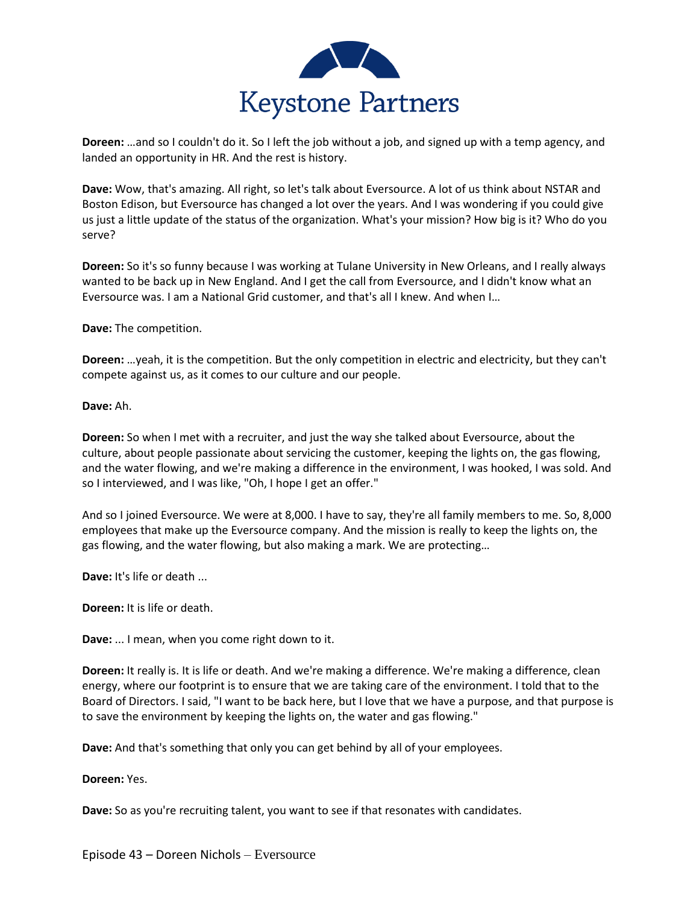

**Doreen:** …and so I couldn't do it. So I left the job without a job, and signed up with a temp agency, and landed an opportunity in HR. And the rest is history.

**Dave:** Wow, that's amazing. All right, so let's talk about Eversource. A lot of us think about NSTAR and Boston Edison, but Eversource has changed a lot over the years. And I was wondering if you could give us just a little update of the status of the organization. What's your mission? How big is it? Who do you serve?

**Doreen:** So it's so funny because I was working at Tulane University in New Orleans, and I really always wanted to be back up in New England. And I get the call from Eversource, and I didn't know what an Eversource was. I am a National Grid customer, and that's all I knew. And when I…

**Dave:** The competition.

**Doreen:** …yeah, it is the competition. But the only competition in electric and electricity, but they can't compete against us, as it comes to our culture and our people.

**Dave:** Ah.

**Doreen:** So when I met with a recruiter, and just the way she talked about Eversource, about the culture, about people passionate about servicing the customer, keeping the lights on, the gas flowing, and the water flowing, and we're making a difference in the environment, I was hooked, I was sold. And so I interviewed, and I was like, "Oh, I hope I get an offer."

And so I joined Eversource. We were at 8,000. I have to say, they're all family members to me. So, 8,000 employees that make up the Eversource company. And the mission is really to keep the lights on, the gas flowing, and the water flowing, but also making a mark. We are protecting…

**Dave:** It's life or death ...

**Doreen:** It is life or death.

**Dave:** ... I mean, when you come right down to it.

**Doreen:** It really is. It is life or death. And we're making a difference. We're making a difference, clean energy, where our footprint is to ensure that we are taking care of the environment. I told that to the Board of Directors. I said, "I want to be back here, but I love that we have a purpose, and that purpose is to save the environment by keeping the lights on, the water and gas flowing."

**Dave:** And that's something that only you can get behind by all of your employees.

**Doreen:** Yes.

**Dave:** So as you're recruiting talent, you want to see if that resonates with candidates.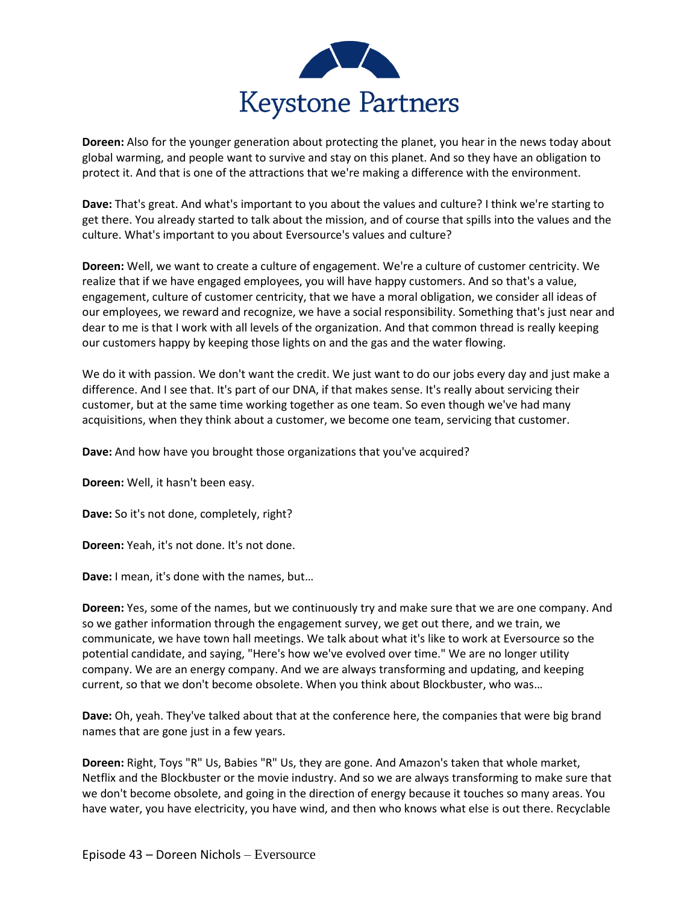

**Doreen:** Also for the younger generation about protecting the planet, you hear in the news today about global warming, and people want to survive and stay on this planet. And so they have an obligation to protect it. And that is one of the attractions that we're making a difference with the environment.

**Dave:** That's great. And what's important to you about the values and culture? I think we're starting to get there. You already started to talk about the mission, and of course that spills into the values and the culture. What's important to you about Eversource's values and culture?

**Doreen:** Well, we want to create a culture of engagement. We're a culture of customer centricity. We realize that if we have engaged employees, you will have happy customers. And so that's a value, engagement, culture of customer centricity, that we have a moral obligation, we consider all ideas of our employees, we reward and recognize, we have a social responsibility. Something that's just near and dear to me is that I work with all levels of the organization. And that common thread is really keeping our customers happy by keeping those lights on and the gas and the water flowing.

We do it with passion. We don't want the credit. We just want to do our jobs every day and just make a difference. And I see that. It's part of our DNA, if that makes sense. It's really about servicing their customer, but at the same time working together as one team. So even though we've had many acquisitions, when they think about a customer, we become one team, servicing that customer.

**Dave:** And how have you brought those organizations that you've acquired?

**Doreen:** Well, it hasn't been easy.

**Dave:** So it's not done, completely, right?

**Doreen:** Yeah, it's not done. It's not done.

**Dave:** I mean, it's done with the names, but…

**Doreen:** Yes, some of the names, but we continuously try and make sure that we are one company. And so we gather information through the engagement survey, we get out there, and we train, we communicate, we have town hall meetings. We talk about what it's like to work at Eversource so the potential candidate, and saying, "Here's how we've evolved over time." We are no longer utility company. We are an energy company. And we are always transforming and updating, and keeping current, so that we don't become obsolete. When you think about Blockbuster, who was…

**Dave:** Oh, yeah. They've talked about that at the conference here, the companies that were big brand names that are gone just in a few years.

**Doreen:** Right, Toys "R" Us, Babies "R" Us, they are gone. And Amazon's taken that whole market, Netflix and the Blockbuster or the movie industry. And so we are always transforming to make sure that we don't become obsolete, and going in the direction of energy because it touches so many areas. You have water, you have electricity, you have wind, and then who knows what else is out there. Recyclable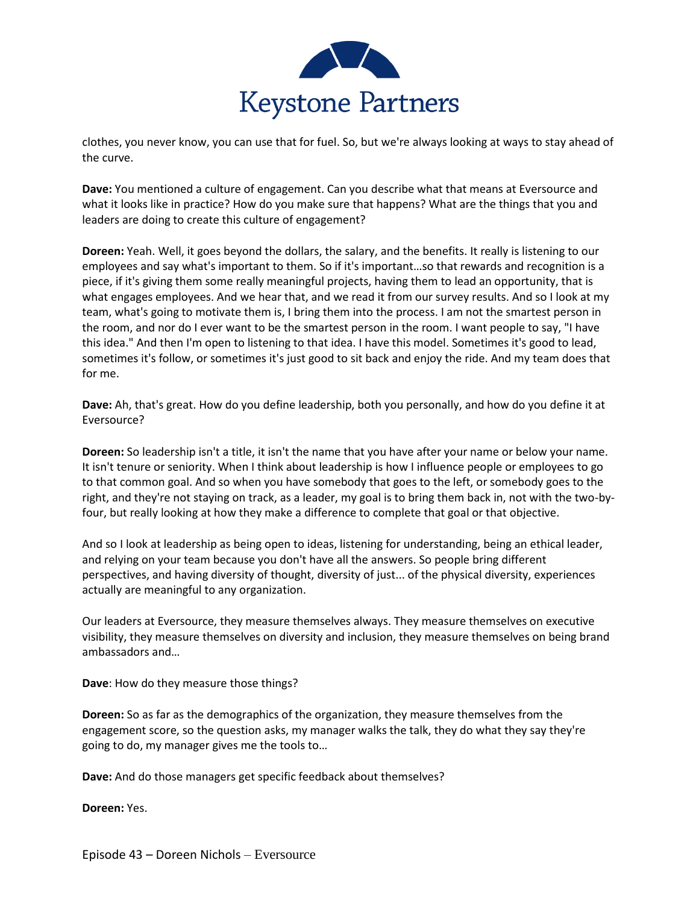

clothes, you never know, you can use that for fuel. So, but we're always looking at ways to stay ahead of the curve.

**Dave:** You mentioned a culture of engagement. Can you describe what that means at Eversource and what it looks like in practice? How do you make sure that happens? What are the things that you and leaders are doing to create this culture of engagement?

**Doreen:** Yeah. Well, it goes beyond the dollars, the salary, and the benefits. It really is listening to our employees and say what's important to them. So if it's important…so that rewards and recognition is a piece, if it's giving them some really meaningful projects, having them to lead an opportunity, that is what engages employees. And we hear that, and we read it from our survey results. And so I look at my team, what's going to motivate them is, I bring them into the process. I am not the smartest person in the room, and nor do I ever want to be the smartest person in the room. I want people to say, "I have this idea." And then I'm open to listening to that idea. I have this model. Sometimes it's good to lead, sometimes it's follow, or sometimes it's just good to sit back and enjoy the ride. And my team does that for me.

**Dave:** Ah, that's great. How do you define leadership, both you personally, and how do you define it at Eversource?

**Doreen:** So leadership isn't a title, it isn't the name that you have after your name or below your name. It isn't tenure or seniority. When I think about leadership is how I influence people or employees to go to that common goal. And so when you have somebody that goes to the left, or somebody goes to the right, and they're not staying on track, as a leader, my goal is to bring them back in, not with the two-byfour, but really looking at how they make a difference to complete that goal or that objective.

And so I look at leadership as being open to ideas, listening for understanding, being an ethical leader, and relying on your team because you don't have all the answers. So people bring different perspectives, and having diversity of thought, diversity of just... of the physical diversity, experiences actually are meaningful to any organization.

Our leaders at Eversource, they measure themselves always. They measure themselves on executive visibility, they measure themselves on diversity and inclusion, they measure themselves on being brand ambassadors and…

**Dave**: How do they measure those things?

**Doreen:** So as far as the demographics of the organization, they measure themselves from the engagement score, so the question asks, my manager walks the talk, they do what they say they're going to do, my manager gives me the tools to…

**Dave:** And do those managers get specific feedback about themselves?

**Doreen:** Yes.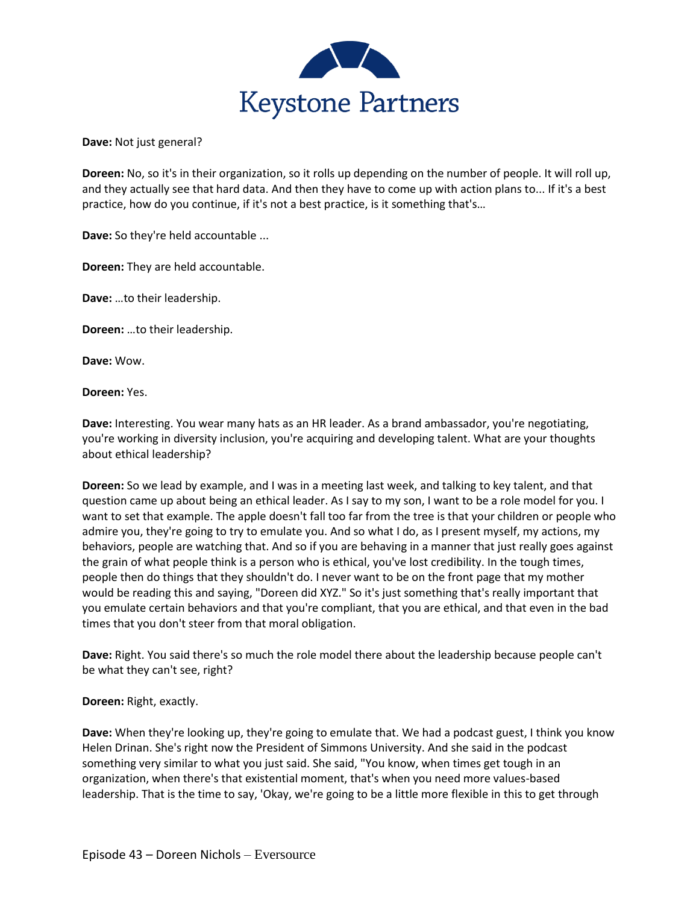

**Dave:** Not just general?

**Doreen:** No, so it's in their organization, so it rolls up depending on the number of people. It will roll up, and they actually see that hard data. And then they have to come up with action plans to... If it's a best practice, how do you continue, if it's not a best practice, is it something that's…

**Dave:** So they're held accountable ...

**Doreen:** They are held accountable.

**Dave:** …to their leadership.

**Doreen:** …to their leadership.

**Dave:** Wow.

**Doreen:** Yes.

**Dave:** Interesting. You wear many hats as an HR leader. As a brand ambassador, you're negotiating, you're working in diversity inclusion, you're acquiring and developing talent. What are your thoughts about ethical leadership?

**Doreen:** So we lead by example, and I was in a meeting last week, and talking to key talent, and that question came up about being an ethical leader. As I say to my son, I want to be a role model for you. I want to set that example. The apple doesn't fall too far from the tree is that your children or people who admire you, they're going to try to emulate you. And so what I do, as I present myself, my actions, my behaviors, people are watching that. And so if you are behaving in a manner that just really goes against the grain of what people think is a person who is ethical, you've lost credibility. In the tough times, people then do things that they shouldn't do. I never want to be on the front page that my mother would be reading this and saying, "Doreen did XYZ." So it's just something that's really important that you emulate certain behaviors and that you're compliant, that you are ethical, and that even in the bad times that you don't steer from that moral obligation.

**Dave:** Right. You said there's so much the role model there about the leadership because people can't be what they can't see, right?

**Doreen:** Right, exactly.

**Dave:** When they're looking up, they're going to emulate that. We had a podcast guest, I think you know Helen Drinan. She's right now the President of Simmons University. And she said in the podcast something very similar to what you just said. She said, "You know, when times get tough in an organization, when there's that existential moment, that's when you need more values-based leadership. That is the time to say, 'Okay, we're going to be a little more flexible in this to get through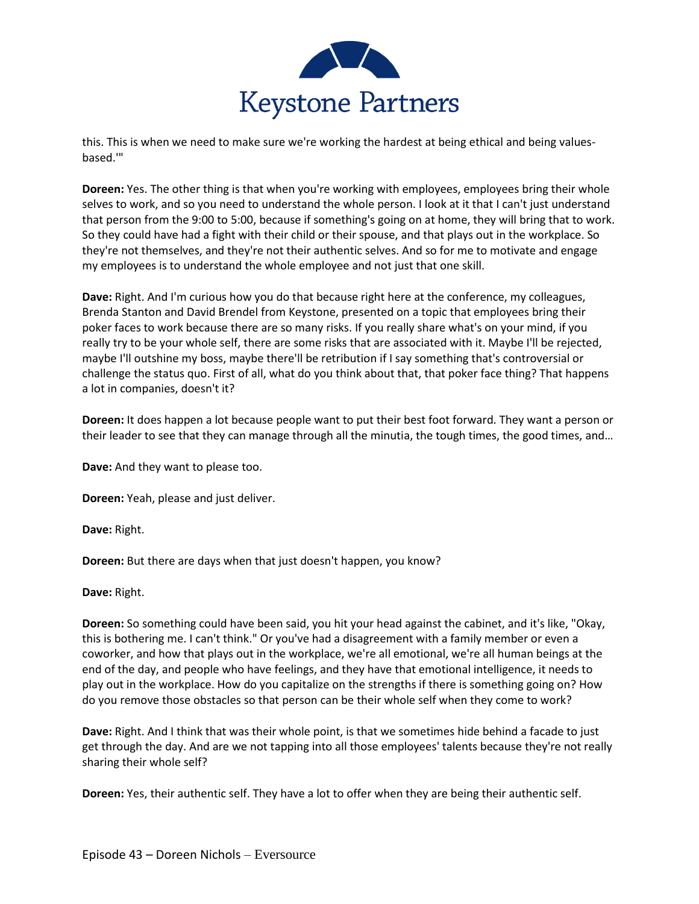

this. This is when we need to make sure we're working the hardest at being ethical and being valuesbased.'"

**Doreen:** Yes. The other thing is that when you're working with employees, employees bring their whole selves to work, and so you need to understand the whole person. I look at it that I can't just understand that person from the 9:00 to 5:00, because if something's going on at home, they will bring that to work. So they could have had a fight with their child or their spouse, and that plays out in the workplace. So they're not themselves, and they're not their authentic selves. And so for me to motivate and engage my employees is to understand the whole employee and not just that one skill.

**Dave:** Right. And I'm curious how you do that because right here at the conference, my colleagues, Brenda Stanton and David Brendel from Keystone, presented on a topic that employees bring their poker faces to work because there are so many risks. If you really share what's on your mind, if you really try to be your whole self, there are some risks that are associated with it. Maybe I'll be rejected, maybe I'll outshine my boss, maybe there'll be retribution if I say something that's controversial or challenge the status quo. First of all, what do you think about that, that poker face thing? That happens a lot in companies, doesn't it?

**Doreen:** It does happen a lot because people want to put their best foot forward. They want a person or their leader to see that they can manage through all the minutia, the tough times, the good times, and…

**Dave:** And they want to please too.

**Doreen:** Yeah, please and just deliver.

**Dave:** Right.

**Doreen:** But there are days when that just doesn't happen, you know?

**Dave:** Right.

**Doreen:** So something could have been said, you hit your head against the cabinet, and it's like, "Okay, this is bothering me. I can't think." Or you've had a disagreement with a family member or even a coworker, and how that plays out in the workplace, we're all emotional, we're all human beings at the end of the day, and people who have feelings, and they have that emotional intelligence, it needs to play out in the workplace. How do you capitalize on the strengths if there is something going on? How do you remove those obstacles so that person can be their whole self when they come to work?

**Dave:** Right. And I think that was their whole point, is that we sometimes hide behind a facade to just get through the day. And are we not tapping into all those employees' talents because they're not really sharing their whole self?

**Doreen:** Yes, their authentic self. They have a lot to offer when they are being their authentic self.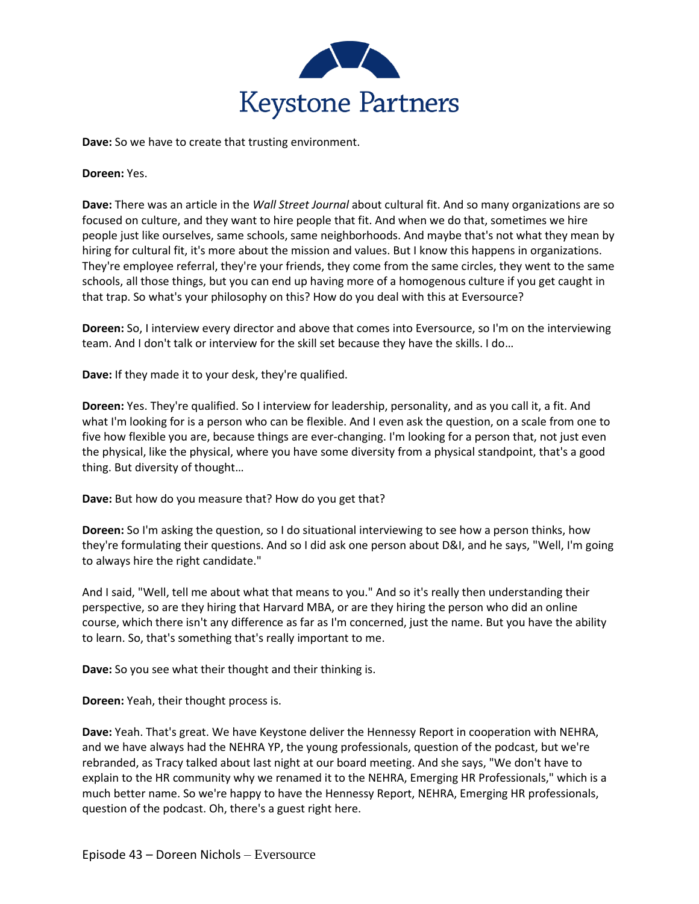

**Dave:** So we have to create that trusting environment.

**Doreen:** Yes.

**Dave:** There was an article in the *Wall Street Journal* about cultural fit. And so many organizations are so focused on culture, and they want to hire people that fit. And when we do that, sometimes we hire people just like ourselves, same schools, same neighborhoods. And maybe that's not what they mean by hiring for cultural fit, it's more about the mission and values. But I know this happens in organizations. They're employee referral, they're your friends, they come from the same circles, they went to the same schools, all those things, but you can end up having more of a homogenous culture if you get caught in that trap. So what's your philosophy on this? How do you deal with this at Eversource?

**Doreen:** So, I interview every director and above that comes into Eversource, so I'm on the interviewing team. And I don't talk or interview for the skill set because they have the skills. I do…

**Dave:** If they made it to your desk, they're qualified.

**Doreen:** Yes. They're qualified. So I interview for leadership, personality, and as you call it, a fit. And what I'm looking for is a person who can be flexible. And I even ask the question, on a scale from one to five how flexible you are, because things are ever-changing. I'm looking for a person that, not just even the physical, like the physical, where you have some diversity from a physical standpoint, that's a good thing. But diversity of thought…

**Dave:** But how do you measure that? How do you get that?

**Doreen:** So I'm asking the question, so I do situational interviewing to see how a person thinks, how they're formulating their questions. And so I did ask one person about D&I, and he says, "Well, I'm going to always hire the right candidate."

And I said, "Well, tell me about what that means to you." And so it's really then understanding their perspective, so are they hiring that Harvard MBA, or are they hiring the person who did an online course, which there isn't any difference as far as I'm concerned, just the name. But you have the ability to learn. So, that's something that's really important to me.

**Dave:** So you see what their thought and their thinking is.

**Doreen:** Yeah, their thought process is.

**Dave:** Yeah. That's great. We have Keystone deliver the Hennessy Report in cooperation with NEHRA, and we have always had the NEHRA YP, the young professionals, question of the podcast, but we're rebranded, as Tracy talked about last night at our board meeting. And she says, "We don't have to explain to the HR community why we renamed it to the NEHRA, Emerging HR Professionals," which is a much better name. So we're happy to have the Hennessy Report, NEHRA, Emerging HR professionals, question of the podcast. Oh, there's a guest right here.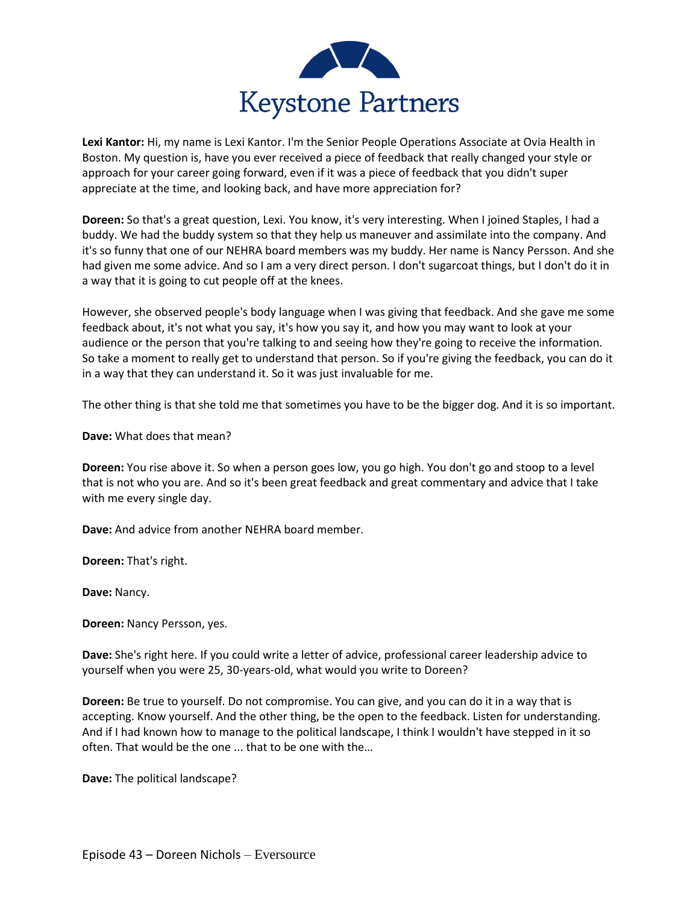

**Lexi Kantor:** Hi, my name is Lexi Kantor. I'm the Senior People Operations Associate at Ovia Health in Boston. My question is, have you ever received a piece of feedback that really changed your style or approach for your career going forward, even if it was a piece of feedback that you didn't super appreciate at the time, and looking back, and have more appreciation for?

**Doreen:** So that's a great question, Lexi. You know, it's very interesting. When I joined Staples, I had a buddy. We had the buddy system so that they help us maneuver and assimilate into the company. And it's so funny that one of our NEHRA board members was my buddy. Her name is Nancy Persson. And she had given me some advice. And so I am a very direct person. I don't sugarcoat things, but I don't do it in a way that it is going to cut people off at the knees.

However, she observed people's body language when I was giving that feedback. And she gave me some feedback about, it's not what you say, it's how you say it, and how you may want to look at your audience or the person that you're talking to and seeing how they're going to receive the information. So take a moment to really get to understand that person. So if you're giving the feedback, you can do it in a way that they can understand it. So it was just invaluable for me.

The other thing is that she told me that sometimes you have to be the bigger dog. And it is so important.

**Dave:** What does that mean?

**Doreen:** You rise above it. So when a person goes low, you go high. You don't go and stoop to a level that is not who you are. And so it's been great feedback and great commentary and advice that I take with me every single day.

**Dave:** And advice from another NEHRA board member.

**Doreen:** That's right.

**Dave:** Nancy.

**Doreen:** Nancy Persson, yes.

**Dave:** She's right here. If you could write a letter of advice, professional career leadership advice to yourself when you were 25, 30-years-old, what would you write to Doreen?

**Doreen:** Be true to yourself. Do not compromise. You can give, and you can do it in a way that is accepting. Know yourself. And the other thing, be the open to the feedback. Listen for understanding. And if I had known how to manage to the political landscape, I think I wouldn't have stepped in it so often. That would be the one ... that to be one with the…

**Dave:** The political landscape?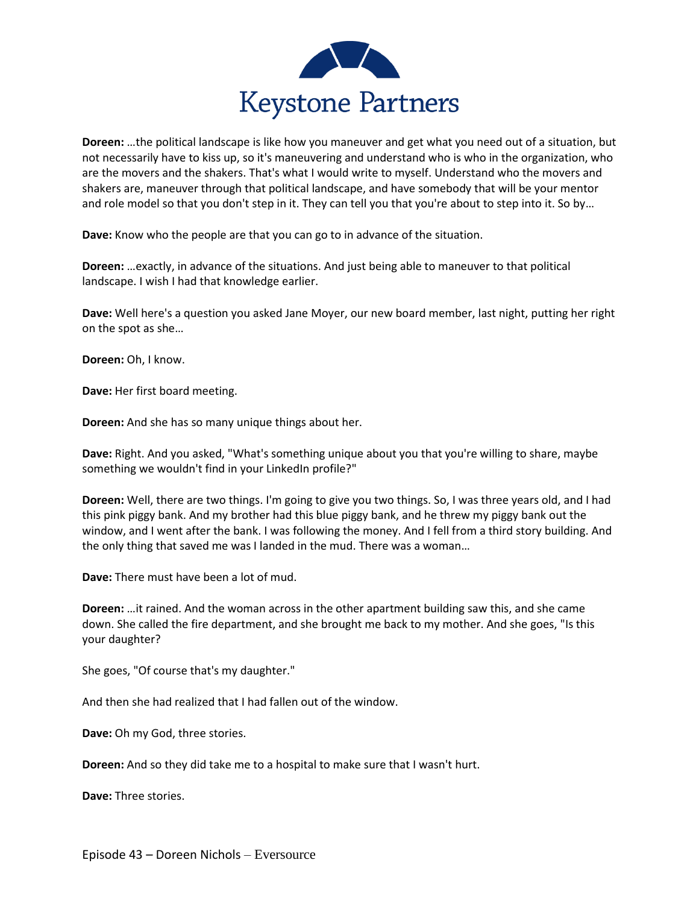

**Doreen:** …the political landscape is like how you maneuver and get what you need out of a situation, but not necessarily have to kiss up, so it's maneuvering and understand who is who in the organization, who are the movers and the shakers. That's what I would write to myself. Understand who the movers and shakers are, maneuver through that political landscape, and have somebody that will be your mentor and role model so that you don't step in it. They can tell you that you're about to step into it. So by…

**Dave:** Know who the people are that you can go to in advance of the situation.

**Doreen:** …exactly, in advance of the situations. And just being able to maneuver to that political landscape. I wish I had that knowledge earlier.

**Dave:** Well here's a question you asked Jane Moyer, our new board member, last night, putting her right on the spot as she…

**Doreen:** Oh, I know.

**Dave:** Her first board meeting.

**Doreen:** And she has so many unique things about her.

**Dave:** Right. And you asked, "What's something unique about you that you're willing to share, maybe something we wouldn't find in your LinkedIn profile?"

**Doreen:** Well, there are two things. I'm going to give you two things. So, I was three years old, and I had this pink piggy bank. And my brother had this blue piggy bank, and he threw my piggy bank out the window, and I went after the bank. I was following the money. And I fell from a third story building. And the only thing that saved me was I landed in the mud. There was a woman…

**Dave:** There must have been a lot of mud.

**Doreen:** …it rained. And the woman across in the other apartment building saw this, and she came down. She called the fire department, and she brought me back to my mother. And she goes, "Is this your daughter?

She goes, "Of course that's my daughter."

And then she had realized that I had fallen out of the window.

**Dave:** Oh my God, three stories.

**Doreen:** And so they did take me to a hospital to make sure that I wasn't hurt.

**Dave:** Three stories.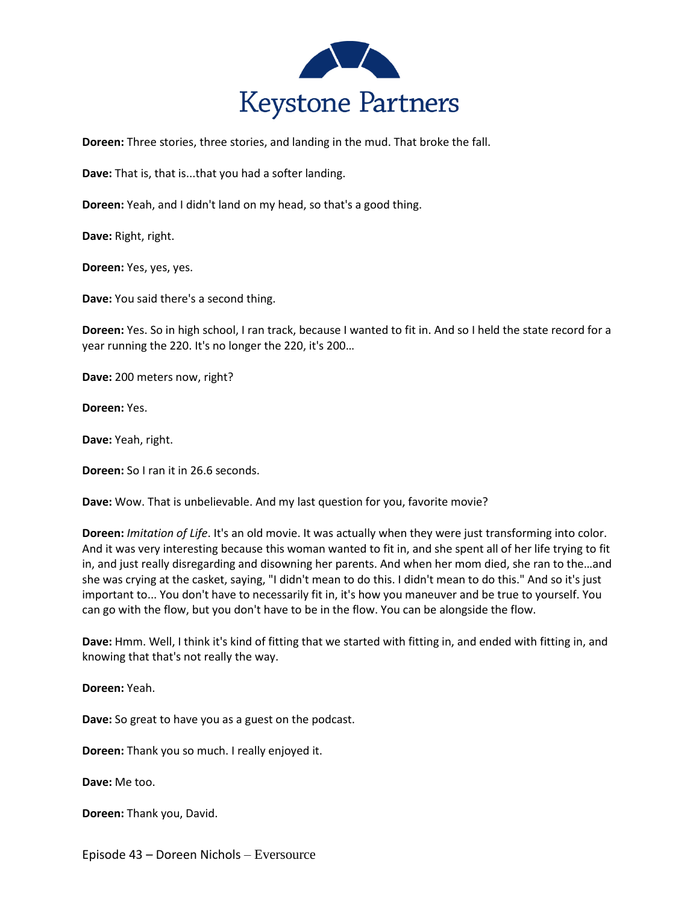

**Doreen:** Three stories, three stories, and landing in the mud. That broke the fall.

**Dave:** That is, that is...that you had a softer landing.

**Doreen:** Yeah, and I didn't land on my head, so that's a good thing.

**Dave:** Right, right.

**Doreen:** Yes, yes, yes.

**Dave:** You said there's a second thing.

**Doreen:** Yes. So in high school, I ran track, because I wanted to fit in. And so I held the state record for a year running the 220. It's no longer the 220, it's 200…

**Dave:** 200 meters now, right?

**Doreen:** Yes.

**Dave:** Yeah, right.

**Doreen:** So I ran it in 26.6 seconds.

**Dave:** Wow. That is unbelievable. And my last question for you, favorite movie?

**Doreen:** *Imitation of Life*. It's an old movie. It was actually when they were just transforming into color. And it was very interesting because this woman wanted to fit in, and she spent all of her life trying to fit in, and just really disregarding and disowning her parents. And when her mom died, she ran to the…and she was crying at the casket, saying, "I didn't mean to do this. I didn't mean to do this." And so it's just important to... You don't have to necessarily fit in, it's how you maneuver and be true to yourself. You can go with the flow, but you don't have to be in the flow. You can be alongside the flow.

**Dave:** Hmm. Well, I think it's kind of fitting that we started with fitting in, and ended with fitting in, and knowing that that's not really the way.

**Doreen:** Yeah.

**Dave:** So great to have you as a guest on the podcast.

**Doreen:** Thank you so much. I really enjoyed it.

**Dave:** Me too.

**Doreen:** Thank you, David.